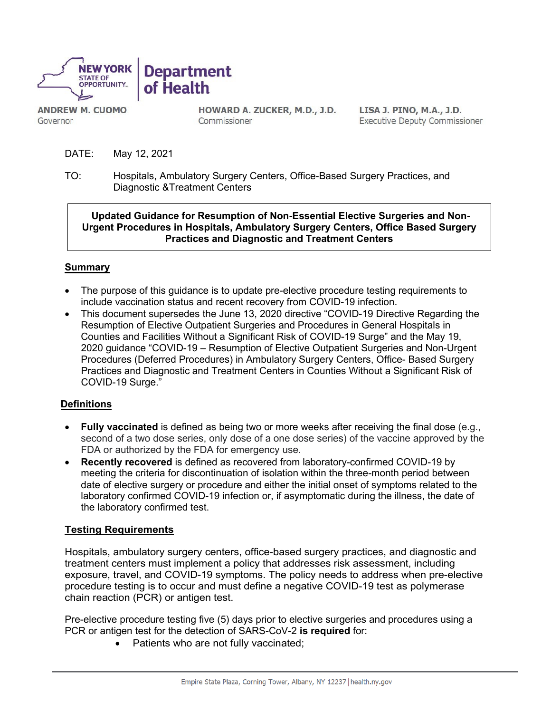

**ANDREW M. CUOMO** Governor

HOWARD A. ZUCKER, M.D., J.D. Commissioner

LISA J. PINO, M.A., J.D. **Executive Deputy Commissioner** 

- DATE: May 12, 2021
- TO: Hospitals, Ambulatory Surgery Centers, Office-Based Surgery Practices, and Diagnostic &Treatment Centers

**Updated Guidance for Resumption of Non-Essential Elective Surgeries and Non-Urgent Procedures in Hospitals, Ambulatory Surgery Centers, Office Based Surgery Practices and Diagnostic and Treatment Centers**

## **Summary**

- The purpose of this guidance is to update pre-elective procedure testing requirements to include vaccination status and recent recovery from COVID-19 infection.
- This document supersedes the June 13, 2020 directive "COVID-19 Directive Regarding the Resumption of Elective Outpatient Surgeries and Procedures in General Hospitals in Counties and Facilities Without a Significant Risk of COVID-19 Surge" and the May 19, 2020 guidance "COVID-19 – Resumption of Elective Outpatient Surgeries and Non-Urgent Procedures (Deferred Procedures) in Ambulatory Surgery Centers, Office- Based Surgery Practices and Diagnostic and Treatment Centers in Counties Without a Significant Risk of COVID-19 Surge."

## **Definitions**

- **Fully vaccinated** is defined as being two or more weeks after receiving the final dose (e.g., second of a two dose series, only dose of a one dose series) of the vaccine approved by the FDA or authorized by the FDA for emergency use.
- **Recently recovered** is defined as recovered from laboratory-confirmed COVID-19 by meeting the criteria for discontinuation of isolation within the three-month period between date of elective surgery or procedure and either the initial onset of symptoms related to the laboratory confirmed COVID-19 infection or, if asymptomatic during the illness, the date of the laboratory confirmed test.

## **Testing Requirements**

Hospitals, ambulatory surgery centers, office-based surgery practices, and diagnostic and treatment centers must implement a policy that addresses risk assessment, including exposure, travel, and COVID-19 symptoms. The policy needs to address when pre-elective procedure testing is to occur and must define a negative COVID-19 test as polymerase chain reaction (PCR) or antigen test.

Pre-elective procedure testing five (5) days prior to elective surgeries and procedures using a PCR or antigen test for the detection of SARS-CoV-2 **is required** for:

• Patients who are not fully vaccinated;